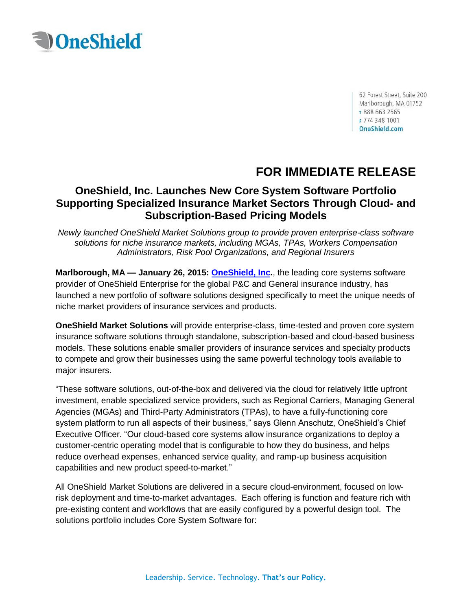

62 Forest Street, Suite 200 Marlborough, MA 01752 T 888 663 2565 F 774 348 1001 OneShield.com

## **FOR IMMEDIATE RELEASE**

## **OneShield, Inc. Launches New Core System Software Portfolio Supporting Specialized Insurance Market Sectors Through Cloud- and Subscription-Based Pricing Models**

*Newly launched OneShield Market Solutions group to provide proven enterprise-class software solutions for niche insurance markets, including MGAs, TPAs, Workers Compensation Administrators, Risk Pool Organizations, and Regional Insurers*

**Marlborough, MA — January 26, 2015: [OneShield, Inc.](http://www.oneshield.com/index.aspx)**, the leading core systems software provider of OneShield Enterprise for the global P&C and General insurance industry, has launched a new portfolio of software solutions designed specifically to meet the unique needs of niche market providers of insurance services and products.

**OneShield Market Solutions** will provide enterprise-class, time-tested and proven core system insurance software solutions through standalone, subscription-based and cloud-based business models. These solutions enable smaller providers of insurance services and specialty products to compete and grow their businesses using the same powerful technology tools available to major insurers.

"These software solutions, out-of-the-box and delivered via the cloud for relatively little upfront investment, enable specialized service providers, such as Regional Carriers, Managing General Agencies (MGAs) and Third-Party Administrators (TPAs), to have a fully-functioning core system platform to run all aspects of their business," says Glenn Anschutz, OneShield's Chief Executive Officer. "Our cloud-based core systems allow insurance organizations to deploy a customer-centric operating model that is configurable to how they do business, and helps reduce overhead expenses, enhanced service quality, and ramp-up business acquisition capabilities and new product speed-to-market."

All OneShield Market Solutions are delivered in a secure cloud-environment, focused on lowrisk deployment and time-to-market advantages. Each offering is function and feature rich with pre-existing content and workflows that are easily configured by a powerful design tool. The solutions portfolio includes Core System Software for: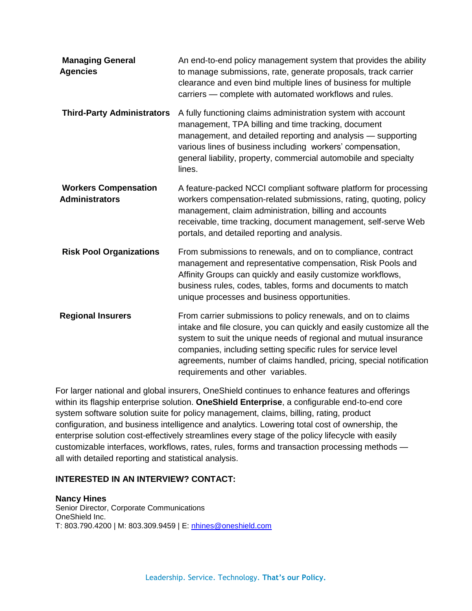| <b>Managing General</b><br><b>Agencies</b>           | An end-to-end policy management system that provides the ability<br>to manage submissions, rate, generate proposals, track carrier<br>clearance and even bind multiple lines of business for multiple<br>carriers - complete with automated workflows and rules.                                                                                                                        |
|------------------------------------------------------|-----------------------------------------------------------------------------------------------------------------------------------------------------------------------------------------------------------------------------------------------------------------------------------------------------------------------------------------------------------------------------------------|
| <b>Third-Party Administrators</b>                    | A fully functioning claims administration system with account<br>management, TPA billing and time tracking, document<br>management, and detailed reporting and analysis - supporting<br>various lines of business including workers' compensation,<br>general liability, property, commercial automobile and specialty<br>lines.                                                        |
| <b>Workers Compensation</b><br><b>Administrators</b> | A feature-packed NCCI compliant software platform for processing<br>workers compensation-related submissions, rating, quoting, policy<br>management, claim administration, billing and accounts<br>receivable, time tracking, document management, self-serve Web<br>portals, and detailed reporting and analysis.                                                                      |
| <b>Risk Pool Organizations</b>                       | From submissions to renewals, and on to compliance, contract<br>management and representative compensation, Risk Pools and<br>Affinity Groups can quickly and easily customize workflows,<br>business rules, codes, tables, forms and documents to match<br>unique processes and business opportunities.                                                                                |
| <b>Regional Insurers</b>                             | From carrier submissions to policy renewals, and on to claims<br>intake and file closure, you can quickly and easily customize all the<br>system to suit the unique needs of regional and mutual insurance<br>companies, including setting specific rules for service level<br>agreements, number of claims handled, pricing, special notification<br>requirements and other variables. |

For larger national and global insurers, OneShield continues to enhance features and offerings within its flagship enterprise solution. **OneShield Enterprise**, a configurable end-to-end core system software solution suite for policy management, claims, billing, rating, product configuration, and business intelligence and analytics. Lowering total cost of ownership, the enterprise solution cost-effectively streamlines every stage of the policy lifecycle with easily customizable interfaces, workflows, rates, rules, forms and transaction processing methods all with detailed reporting and statistical analysis.

## **INTERESTED IN AN INTERVIEW? CONTACT:**

**Nancy Hines** Senior Director, Corporate Communications OneShield Inc. T: 803.790.4200 | M: 803.309.9459 | E: [nhines@oneshield.com](mailto:nhines@oneshield.com)